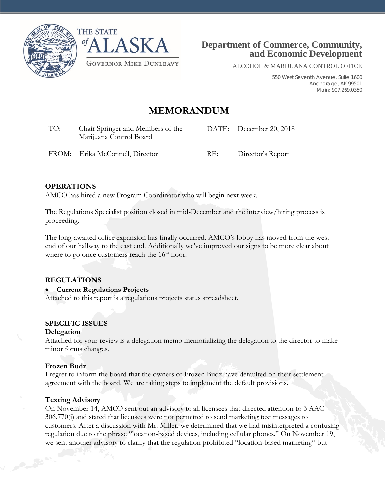



ALCOHOL & MARIJUANA CONTROL OFFICE

550 West Seventh Avenue, Suite 1600 Anchorage, AK 99501 Main: 907.269.0350

# **MEMORANDUM**

| TO: | Chair Springer and Members of the<br>Marijuana Control Board |      | DATE: December 20, 2018 |
|-----|--------------------------------------------------------------|------|-------------------------|
|     | FROM: Erika McConnell, Director                              | -RE: | Director's Report       |

### **OPERATIONS**

AMCO has hired a new Program Coordinator who will begin next week.

The Regulations Specialist position closed in mid-December and the interview/hiring process is proceeding.

The long-awaited office expansion has finally occurred. AMCO's lobby has moved from the west end of our hallway to the east end. Additionally we've improved our signs to be more clear about where to go once customers reach the  $16<sup>th</sup>$  floor.

### **REGULATIONS**

### • **Current Regulations Projects**

Attached to this report is a regulations projects status spreadsheet.

### **SPECIFIC ISSUES**

### **Delegation**

Attached for your review is a delegation memo memorializing the delegation to the director to make minor forms changes.

#### **Frozen Budz**

I regret to inform the board that the owners of Frozen Budz have defaulted on their settlement agreement with the board. We are taking steps to implement the default provisions.

### **Texting Advisory**

On November 14, AMCO sent out an advisory to all licensees that directed attention to 3 AAC 306.770(i) and stated that licensees were not permitted to send marketing text messages to customers. After a discussion with Mr. Miller, we determined that we had misinterpreted a confusing regulation due to the phrase "location-based devices, including cellular phones." On November 19, we sent another advisory to clarify that the regulation prohibited "location-based marketing" but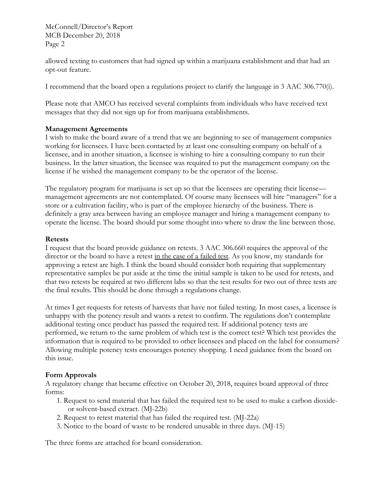McConnell/Director's Report MCB December 20, 2018 Page 2

allowed texting to customers that had signed up within a marijuana establishment and that had an opt-out feature.

I recommend that the board open a regulations project to clarify the language in 3 AAC 306.770(i).

Please note that AMCO has received several complaints from individuals who have received text messages that they did not sign up for from marijuana establishments.

### **Management Agreements**

I wish to make the board aware of a trend that we are beginning to see of management companies working for licensees. I have been contacted by at least one consulting company on behalf of a licensee, and in another situation, a licensee is wishing to hire a consulting company to run their business. In the latter situation, the licensee was required to put the management company on the license if he wished the management company to be the operator of the license.

The regulatory program for marijuana is set up so that the licensees are operating their license management agreements are not contemplated. Of course many licensees will hire "managers" for a store or a cultivation facility, who is part of the employee hierarchy of the business. There is definitely a gray area between having an employee manager and hiring a management company to operate the license. The board should put some thought into where to draw the line between those.

### **Retests**

I request that the board provide guidance on retests. 3 AAC 306.660 requires the approval of the director or the board to have a retest in the case of a failed test. As you know, my standards for approving a retest are high. I think the board should consider both requiring that supplementary representative samples be put aside at the time the initial sample is taken to be used for retests, and that two retests be required at two different labs so that the test results for two out of three tests are the final results. This should be done through a regulations change.

At times I get requests for retests of harvests that have not failed testing. In most cases, a licensee is unhappy with the potency result and wants a retest to confirm. The regulations don't contemplate additional testing once product has passed the required test. If additional potency tests are performed, we return to the same problem of which test is the correct test? Which test provides the information that is required to be provided to other licensees and placed on the label for consumers? Allowing multiple potency tests encourages potency shopping. I need guidance from the board on this issue.

### **Form Approvals**

A regulatory change that became effective on October 20, 2018, requires board approval of three forms:

- 1. Request to send material that has failed the required test to be used to make a carbon dioxideor solvent-based extract. (MJ-22b)
- 2. Request to retest material that has failed the required test. (MJ-22a)
- 3. Notice to the board of waste to be rendered unusable in three days. (MJ-15)

The three forms are attached for board consideration.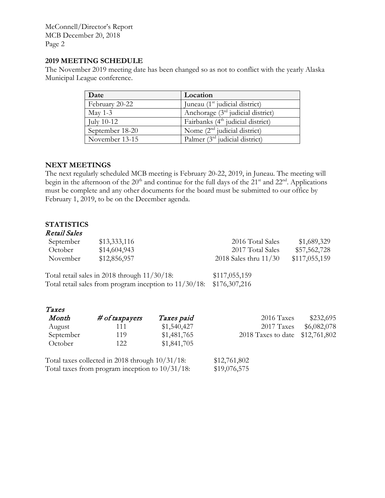McConnell/Director's Report MCB December 20, 2018 Page 2

### **2019 MEETING SCHEDULE**

The November 2019 meeting date has been changed so as not to conflict with the yearly Alaska Municipal League conference.

| Date            | Location                                      |
|-----------------|-----------------------------------------------|
| February 20-22  | Juneau (1 <sup>st</sup> judicial district)    |
| May 1-3         | Anchorage $(3rd)$ judicial district)          |
| July 10-12      | Fairbanks (4 <sup>th</sup> judicial district) |
| September 18-20 | Nome $(2nd$ judicial district)                |
| November 13-15  | Palmer $(3rd$ judicial district)              |

### **NEXT MEETINGS**

The next regularly scheduled MCB meeting is February 20-22, 2019, in Juneau. The meeting will begin in the afternoon of the 20<sup>th</sup> and continue for the full days of the 21<sup>st</sup> and 22<sup>nd</sup>. Applications must be complete and any other documents for the board must be submitted to our office by February 1, 2019, to be on the December agenda.

### **STATISTICS**

### Retail Sales

| September<br>October | \$13,333,116<br>\$14,604,943                           |             | 2016 Total Sales<br>2017 Total Sales |                    | \$1,689,329<br>\$57,562,728 |
|----------------------|--------------------------------------------------------|-------------|--------------------------------------|--------------------|-----------------------------|
| November             | \$12,856,957                                           |             | 2018 Sales thru $11/30$              |                    | \$117,055,159               |
|                      | Total retail sales in 2018 through $11/30/18$ :        |             | \$117,055,159                        |                    |                             |
|                      | Total retail sales from program inception to 11/30/18: |             | \$176,307,216                        |                    |                             |
| Taxes                |                                                        |             |                                      |                    |                             |
| Month                | # of taxpayers                                         | Taxes paid  |                                      | 2016 Taxes         | \$232,695                   |
| August               | 111                                                    | \$1,540,427 |                                      | 2017 Taxes         | \$6,082,078                 |
| September            | 119                                                    | \$1,481,765 |                                      | 2018 Taxes to date | \$12,761,802                |
| October              | 122                                                    | \$1,841,705 |                                      |                    |                             |

| Total taxes collected in 2018 through $10/31/18$ : | \$12,761,802 |
|----------------------------------------------------|--------------|
| Total taxes from program inception to $10/31/18$ : | \$19,076,575 |

122 \$1,841,705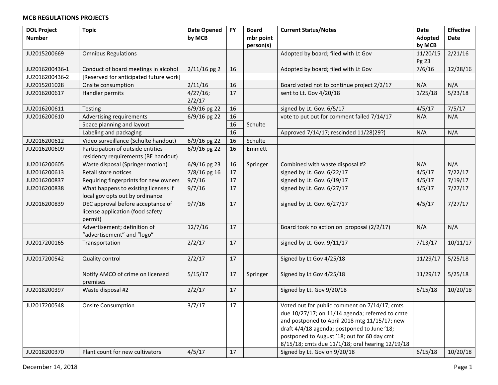| <b>DOL Project</b> | <b>Topic</b>                           | <b>Date Opened</b> | <b>FY</b> | <b>Board</b> | <b>Current Status/Notes</b>                      | Date     | <b>Effective</b>    |
|--------------------|----------------------------------------|--------------------|-----------|--------------|--------------------------------------------------|----------|---------------------|
| <b>Number</b>      |                                        | by MCB             |           | mbr point    |                                                  | Adopted  | Date                |
|                    |                                        |                    |           | person(s)    |                                                  | by MCB   |                     |
| JU2015200669       | <b>Omnibus Regulations</b>             |                    |           |              | Adopted by board; filed with Lt Gov              | 11/20/15 | 2/21/16             |
|                    |                                        |                    |           |              |                                                  | Pg 23    |                     |
| JU2016200436-1     | Conduct of board meetings in alcohol   | $2/11/16$ pg 2     | 16        |              | Adopted by board; filed with Lt Gov              | 7/6/16   | $\frac{1}{2}/28/16$ |
| JU2016200436-2     | [Reserved for anticipated future work] |                    |           |              |                                                  |          |                     |
| JU2015201028       | Onsite consumption                     | 2/11/16            | 16        |              | Board voted not to continue project 2/2/17       | N/A      | N/A                 |
| JU2016200617       | Handler permits                        | 4/27/16;           | 17        |              | sent to Lt. Gov 4/20/18                          | 1/25/18  | 5/23/18             |
|                    |                                        | 2/2/17             |           |              |                                                  |          |                     |
| JU2016200611       | Testing                                | 6/9/16 pg 22       | 16        |              | signed by Lt. Gov. 6/5/17                        | 4/5/17   | 7/5/17              |
| JU2016200610       | Advertising requirements               | 6/9/16 pg 22       | 16        |              | vote to put out for comment failed 7/14/17       | N/A      | N/A                 |
|                    | Space planning and layout              |                    | 16        | Schulte      |                                                  |          |                     |
|                    | Labeling and packaging                 |                    | 16        |              | Approved 7/14/17; rescinded 11/28(29?)           | N/A      | N/A                 |
| JU2016200612       | Video surveillance (Schulte handout)   | 6/9/16 pg 22       | 16        | Schulte      |                                                  |          |                     |
| JU2016200609       | Participation of outside entities -    | 6/9/16 pg 22       | 16        | Emmett       |                                                  |          |                     |
|                    | residency requirements (BE handout)    |                    |           |              |                                                  |          |                     |
| JU2016200605       | Waste disposal (Springer motion)       | 6/9/16 pg 23       | 16        | Springer     | Combined with waste disposal #2                  | N/A      | N/A                 |
| JU2016200613       | Retail store notices                   | 7/8/16 pg 16       | 17        |              | signed by Lt. Gov. 6/22/17                       | 4/5/17   | 7/22/17             |
| JU2016200837       | Requiring fingerprints for new owners  | 9/7/16             | 17        |              | signed by Lt. Gov. 6/19/17                       | 4/5/17   | 7/19/17             |
| JU2016200838       | What happens to existing licenses if   | 9/7/16             | 17        |              | signed by Lt. Gov. 6/27/17                       | 4/5/17   | 7/27/17             |
|                    | local gov opts out by ordinance        |                    |           |              |                                                  |          |                     |
| JU2016200839       | DEC approval before acceptance of      | 9/7/16             | 17        |              | signed by Lt. Gov. 6/27/17                       | 4/5/17   | 7/27/17             |
|                    | license application (food safety       |                    |           |              |                                                  |          |                     |
|                    | permit)                                |                    |           |              |                                                  |          |                     |
|                    | Advertisement; definition of           | 12/7/16            | 17        |              | Board took no action on proposal (2/2/17)        | N/A      | N/A                 |
|                    | "advertisement" and "logo"             |                    |           |              |                                                  |          |                     |
| JU2017200165       | Transportation                         | 2/2/17             | 17        |              | signed by Lt. Gov. 9/11/17                       | 7/13/17  | 10/11/17            |
|                    |                                        |                    |           |              |                                                  |          |                     |
| JU2017200542       | <b>Quality control</b>                 | 2/2/17             | 17        |              | Signed by Lt Gov 4/25/18                         | 11/29/17 | 5/25/18             |
|                    |                                        |                    |           |              |                                                  |          |                     |
|                    | Notify AMCO of crime on licensed       | 5/15/17            | 17        | Springer     | Signed by Lt Gov 4/25/18                         | 11/29/17 | 5/25/18             |
|                    | premises                               |                    |           |              |                                                  |          |                     |
| JU2018200397       | Waste disposal #2                      | 2/2/17             | 17        |              | Signed by Lt. Gov 9/20/18                        | 6/15/18  | 10/20/18            |
|                    |                                        |                    |           |              |                                                  |          |                     |
| JU2017200548       | <b>Onsite Consumption</b>              | 3/7/17             | 17        |              | Voted out for public comment on 7/14/17; cmts    |          |                     |
|                    |                                        |                    |           |              | due 10/27/17; on 11/14 agenda; referred to cmte  |          |                     |
|                    |                                        |                    |           |              | and postponed to April 2018 mtg 11/15/17; new    |          |                     |
|                    |                                        |                    |           |              | draft 4/4/18 agenda; postponed to June '18;      |          |                     |
|                    |                                        |                    |           |              | postponed to August '18; out for 60 day cmt      |          |                     |
|                    |                                        |                    |           |              | 8/15/18; cmts due 11/1/18; oral hearing 12/19/18 |          |                     |
| JU2018200370       | Plant count for new cultivators        | 4/5/17             | 17        |              | Signed by Lt. Gov on 9/20/18                     | 6/15/18  | 10/20/18            |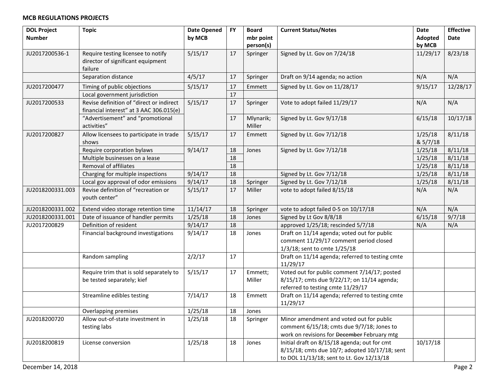| <b>DOL Project</b> | <b>Topic</b>                                                              | <b>Date Opened</b> | <b>FY</b> | <b>Board</b> | <b>Current Status/Notes</b>                                                      | <b>Date</b>        | <b>Effective</b>   |
|--------------------|---------------------------------------------------------------------------|--------------------|-----------|--------------|----------------------------------------------------------------------------------|--------------------|--------------------|
| <b>Number</b>      |                                                                           | by MCB             |           | mbr point    |                                                                                  | Adopted            | Date               |
|                    |                                                                           |                    |           | person(s)    |                                                                                  | by MCB             |                    |
| JU2017200536-1     | Require testing licensee to notify                                        | 5/15/17            | 17        | Springer     | Signed by Lt. Gov on 7/24/18                                                     | 11/29/17           | 8/23/18            |
|                    | director of significant equipment                                         |                    |           |              |                                                                                  |                    |                    |
|                    | failure                                                                   |                    |           |              |                                                                                  |                    |                    |
|                    | Separation distance                                                       | 4/5/17             | 17        | Springer     | Draft on 9/14 agenda; no action                                                  | N/A                | N/A                |
| JU2017200477       | Timing of public objections                                               | 5/15/17            | 17        | Emmett       | Signed by Lt. Gov on 11/28/17                                                    | 9/15/17            | 12/28/17           |
|                    | Local government jurisdiction                                             |                    | $17\,$    |              |                                                                                  |                    |                    |
| JU2017200533       | Revise definition of "direct or indirect                                  | 5/15/17            | 17        | Springer     | Vote to adopt failed 11/29/17                                                    | N/A                | N/A                |
|                    | financial interest" at 3 AAC 306.015(e)                                   |                    |           |              |                                                                                  |                    |                    |
|                    | "Advertisement" and "promotional                                          |                    | 17        | Mlynarik;    | Signed by Lt. Gov 9/17/18                                                        | 6/15/18            | 10/17/18           |
|                    | activities"                                                               |                    |           | Miller       |                                                                                  |                    |                    |
| JU2017200827       | Allow licensees to participate in trade                                   | 5/15/17            | 17        | Emmett       | Signed by Lt. Gov 7/12/18                                                        | 1/25/18            | 8/11/18            |
|                    | shows                                                                     |                    |           |              |                                                                                  | & 5/7/18           |                    |
|                    | Require corporation bylaws<br>Multiple businesses on a lease              | 9/14/17            | 18<br>18  | Jones        | Signed by Lt. Gov 7/12/18                                                        | 1/25/18            | 8/11/18            |
|                    | <b>Removal of affiliates</b>                                              |                    | 18        |              |                                                                                  | 1/25/18<br>1/25/18 | 8/11/18            |
|                    |                                                                           | 9/14/17            | 18        |              |                                                                                  | 1/25/18            | 8/11/18<br>8/11/18 |
|                    | Charging for multiple inspections<br>Local gov approval of odor emissions | 9/14/17            | 18        |              | Signed by Lt. Gov 7/12/18<br>Signed by Lt. Gov 7/12/18                           |                    | 8/11/18            |
| JU2018200331.003   | Revise definition of "recreation or                                       | 5/15/17            | 17        | Springer     | vote to adopt failed 8/15/18                                                     | 1/25/18<br>N/A     | N/A                |
|                    | youth center"                                                             |                    |           | Miller       |                                                                                  |                    |                    |
|                    |                                                                           |                    |           |              |                                                                                  |                    |                    |
| JU2018200331.002   | Extend video storage retention time                                       | 11/14/17           | 18        | Springer     | vote to adopt failed 0-5 on 10/17/18                                             | N/A                | N/A                |
| JU2018200331.001   | Date of issuance of handler permits                                       | 1/25/18            | 18        | Jones        | Signed by Lt Gov 8/8/18                                                          | 6/15/18            | 9/7/18             |
| JU2017200829       | Definition of resident                                                    | 9/14/17            | 18        |              | approved 1/25/18; rescinded 5/7/18                                               | N/A                | N/A                |
|                    | Financial background investigations                                       | 9/14/17            | 18        | Jones        | Draft on 11/14 agenda; voted out for public                                      |                    |                    |
|                    |                                                                           |                    |           |              | comment 11/29/17 comment period closed                                           |                    |                    |
|                    |                                                                           |                    |           |              | 1/3/18; sent to cmte 1/25/18                                                     |                    |                    |
|                    | Random sampling                                                           | 2/2/17             | 17        |              | Draft on 11/14 agenda; referred to testing cmte                                  |                    |                    |
|                    |                                                                           |                    |           |              | 11/29/17                                                                         |                    |                    |
|                    | Require trim that is sold separately to                                   | 5/15/17            | 17        | Emmett;      | Voted out for public comment 7/14/17; posted                                     |                    |                    |
|                    | be tested separately; kief                                                |                    |           | Miller       | 8/15/17; cmts due 9/22/17; on 11/14 agenda;<br>referred to testing cmte 11/29/17 |                    |                    |
|                    | Streamline edibles testing                                                | 7/14/17            | 18        | Emmett       | Draft on 11/14 agenda; referred to testing cmte                                  |                    |                    |
|                    |                                                                           |                    |           |              | 11/29/17                                                                         |                    |                    |
|                    | Overlapping premises                                                      | 1/25/18            | 18        | Jones        |                                                                                  |                    |                    |
| JU2018200720       | Allow out-of-state investment in                                          | 1/25/18            | 18        | Springer     | Minor amendment and voted out for public                                         |                    |                    |
|                    | testing labs                                                              |                    |           |              | comment 6/15/18; cmts due 9/7/18; Jones to                                       |                    |                    |
|                    |                                                                           |                    |           |              | work on revisions for December February mtg                                      |                    |                    |
| JU2018200819       | License conversion                                                        | 1/25/18            | 18        | Jones        | Initial draft on 8/15/18 agenda; out for cmt                                     | 10/17/18           |                    |
|                    |                                                                           |                    |           |              | 8/15/18; cmts due 10/7; adopted 10/17/18; sent                                   |                    |                    |
|                    |                                                                           |                    |           |              | to DOL 11/13/18; sent to Lt. Gov 12/13/18                                        |                    |                    |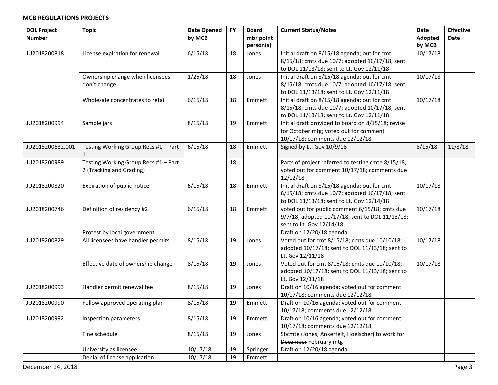| <b>DOL Project</b> | <b>Topic</b>                         | <b>Date Opened</b> | <b>FY</b> | <b>Board</b> | <b>Current Status/Notes</b>                        | Date           | <b>Effective</b> |
|--------------------|--------------------------------------|--------------------|-----------|--------------|----------------------------------------------------|----------------|------------------|
| <b>Number</b>      |                                      | by MCB             |           | mbr point    |                                                    | <b>Adopted</b> | Date             |
|                    |                                      |                    |           | person(s)    |                                                    | by MCB         |                  |
| JU2018200818       | License expiration for renewal       | 6/15/18            | 18        | Jones        | Initial draft on 8/15/18 agenda; out for cmt       | 10/17/18       |                  |
|                    |                                      |                    |           |              | 8/15/18; cmts due 10/7; adopted 10/17/18; sent     |                |                  |
|                    |                                      |                    |           |              | to DOL 11/13/18; sent to Lt. Gov 12/11/18          |                |                  |
|                    | Ownership change when licensees      | 1/25/18            | 18        | Jones        | Initial draft on 8/15/18 agenda; out for cmt       | 10/17/18       |                  |
|                    | don't change                         |                    |           |              | 8/15/18; cmts due 10/7; adopted 10/17/18; sent     |                |                  |
|                    |                                      |                    |           |              | to DOL 11/13/18; sent to Lt. Gov 12/11/18          |                |                  |
|                    | Wholesale concentrates to retail     | 6/15/18            | 18        | Emmett       | Initial draft on 8/15/18 agenda; out for cmt       | 10/17/18       |                  |
|                    |                                      |                    |           |              | 8/15/18; cmts due 10/7; adopted 10/17/18; sent     |                |                  |
|                    |                                      |                    |           |              | to DOL 11/13/18; sent to Lt. Gov 12/11/18          |                |                  |
| JU2018200994       | Sample jars                          | 8/15/18            | 19        | Emmett       | Initial draft provided to board on 8/15/18; revise |                |                  |
|                    |                                      |                    |           |              | for October mtg; voted out for comment             |                |                  |
|                    |                                      |                    |           |              | 10/17/18; comments due 12/12/18                    |                |                  |
| JU2018200632.001   | Testing Working Group Recs #1 - Part | 6/15/18            | 18        | Emmett       | Signed by Lt. Gov 10/9/18                          | 8/15/18        | 11/8/18          |
|                    | 1                                    |                    |           |              |                                                    |                |                  |
| JU2018200989       | Testing Working Group Recs #1 - Part |                    | 18        |              | Parts of project referred to testing cmte 8/15/18; |                |                  |
|                    | 2 (Tracking and Grading)             |                    |           |              | voted out for comment 10/17/18; comments due       |                |                  |
|                    |                                      |                    |           |              | 12/12/18                                           |                |                  |
| JU2018200820       | Expiration of public notice          | 6/15/18            | 18        | Emmett       | Initial draft on 8/15/18 agenda; out for cmt       | 10/17/18       |                  |
|                    |                                      |                    |           |              | 8/15/18; cmts due 10/7; adopted 10/17/18; sent     |                |                  |
|                    |                                      |                    |           |              | to DOL 11/13/18; sent to Lt. Gov 12/14/18          |                |                  |
| JU2018200746       | Definition of residency #2           | 6/15/18            | 18        | Emmett       | voted out for public comment 6/15/18; cmts due     | 10/17/18       |                  |
|                    |                                      |                    |           |              | 9/7/18; adopted 10/17/18; sent to DOL 11/13/18;    |                |                  |
|                    |                                      |                    |           |              | sent to Lt. Gov 12/14/18                           |                |                  |
|                    | Protest by local government          |                    |           |              | Draft on 12/20/18 agenda                           |                |                  |
| JU2018200829       | All licensees have handler permits   | 8/15/18            | 19        | Jones        | Voted out for cmt 8/15/18; cmts due 10/10/18;      | 10/17/18       |                  |
|                    |                                      |                    |           |              | adopted 10/17/18; sent to DOL 11/13/18; sent to    |                |                  |
|                    |                                      |                    |           |              | Lt. Gov 12/11/18                                   |                |                  |
|                    | Effective date of ownership change   | 8/15/18            | 19        | Jones        | Voted out for cmt 8/15/18; cmts due 10/10/18;      | 10/17/18       |                  |
|                    |                                      |                    |           |              | adopted 10/17/18; sent to DOL 11/13/18; sent to    |                |                  |
|                    |                                      |                    |           |              | Lt. Gov 12/11/18                                   |                |                  |
| JU2018200993       | Handler permit renewal fee           | 8/15/18            | 19        | Jones        | Draft on 10/16 agenda; voted out for comment       |                |                  |
|                    |                                      |                    |           |              | 10/17/18; comments due 12/12/18                    |                |                  |
| JU2018200990       | Follow approved operating plan       | 8/15/18            | 19        | Emmett       | Draft on 10/16 agenda; voted out for comment       |                |                  |
|                    |                                      |                    |           |              | 10/17/18; comments due 12/12/18                    |                |                  |
| JU2018200992       | Inspection parameters                | 8/15/18            | 19        | Emmett       | Draft on 10/16 agenda; voted out for comment       |                |                  |
|                    |                                      |                    |           |              | 10/17/18; comments due 12/12/18                    |                |                  |
|                    | Fine schedule                        | 8/15/18            | 19        | Jones        | Sbcmte (Jones, Ankerfelt, Hoelscher) to work for   |                |                  |
|                    |                                      |                    |           |              | December February mtg                              |                |                  |
|                    | University as licensee               | 10/17/18           | 19        | Springer     | Draft on 12/20/18 agenda                           |                |                  |
|                    | Denial of license application        | 10/17/18           | 19        | Emmett       |                                                    |                |                  |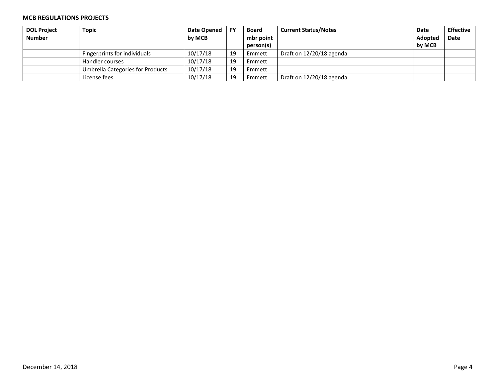| <b>DOL Project</b> | <b>Topic</b>                     | Date Opened | <b>FY</b> | Board     | <b>Current Status/Notes</b> | Date    | <b>Effective</b> |
|--------------------|----------------------------------|-------------|-----------|-----------|-----------------------------|---------|------------------|
| <b>Number</b>      |                                  | by MCB      |           | mbr point |                             | Adopted | Date             |
|                    |                                  |             |           | person(s) |                             | by MCB  |                  |
|                    | Fingerprints for individuals     | 10/17/18    | 19        | Emmett    | Draft on 12/20/18 agenda    |         |                  |
|                    | Handler courses                  | 10/17/18    | 19        | Emmett    |                             |         |                  |
|                    | Umbrella Categories for Products | 10/17/18    | 19        | Emmett    |                             |         |                  |
|                    | License fees                     | 10/17/18    | 19        | Emmett    | Draft on 12/20/18 agenda    |         |                  |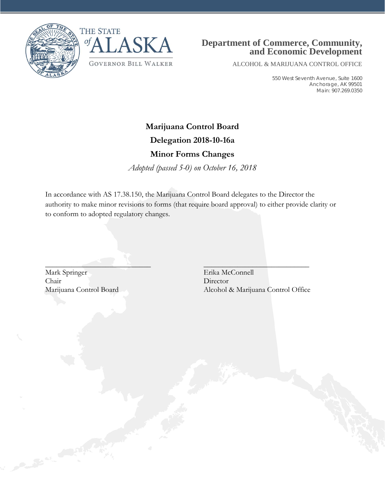



# **Department of Commerce, Community, and Economic Development**

ALCOHOL & MARIJUANA CONTROL OFFICE

550 West Seventh Avenue, Suite 1600 Anchorage, AK 99501 Main: 907.269.0350

# **Marijuana Control Board**

## **Delegation 2018-10-16a**

# **Minor Forms Changes**

*Adopted (passed 5-0) on October 16, 2018*

In accordance with AS 17.38.150, the Marijuana Control Board delegates to the Director the authority to make minor revisions to forms (that require board approval) to either provide clarity or to conform to adopted regulatory changes.

 $\mathcal{L}_\text{max}$  , which is a set of the set of the set of the set of the set of the set of the set of the set of the set of the set of the set of the set of the set of the set of the set of the set of the set of the set of

Mark Springer Erika McConnell Chair Director

Marijuana Control Board Alcohol & Marijuana Control Office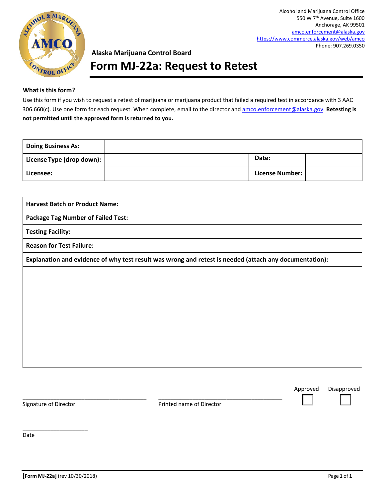

Alcohol and Marijuana Control Office 550 W 7th Avenue, Suite 1600 Anchorage, AK 99501 [amco.enforcement@alaska.gov](mailto:amco.enforcement@alaska.gov) <https://www.commerce.alaska.gov/web/amco> Phone: 907.269.0350

### **Alaska Marijuana Control Board**

# **Form MJ-22a: Request to Retest**

#### **What isthisform?**

Use this form if you wish to request a retest of marijuana or marijuana product that failed a required test in accordance with 3 AAC 306.660(c). Use one form for each request. When complete, email to the director an[d amco.enforcement@alaska.gov.](mailto:amco.enforcement@alaska.gov) **Retesting is not permitted until the approved form is returned to you.**

| <b>Doing Business As:</b> |                        |  |
|---------------------------|------------------------|--|
| License Type (drop down): | Date:                  |  |
| Licensee:                 | <b>License Number:</b> |  |

| <b>Harvest Batch or Product Name:</b>     |                                                                                                        |
|-------------------------------------------|--------------------------------------------------------------------------------------------------------|
| <b>Package Tag Number of Failed Test:</b> |                                                                                                        |
| <b>Testing Facility:</b>                  |                                                                                                        |
| <b>Reason for Test Failure:</b>           |                                                                                                        |
|                                           | Explanation and evidence of why test result was wrong and retest is needed (attach any documentation): |
|                                           |                                                                                                        |
|                                           |                                                                                                        |
|                                           |                                                                                                        |
|                                           |                                                                                                        |
|                                           |                                                                                                        |
|                                           |                                                                                                        |
|                                           |                                                                                                        |
|                                           |                                                                                                        |

\_\_\_\_\_\_\_\_\_\_\_\_\_\_\_\_\_\_\_\_\_

Signature of Director **Printed name of Director** Printed name of Director

\_\_\_\_\_\_\_\_\_\_\_\_\_\_\_\_\_\_\_\_\_\_\_\_\_\_\_\_\_\_\_\_\_\_\_\_\_\_\_\_ \_\_\_\_\_\_\_\_\_\_\_\_\_\_\_\_\_\_\_\_\_\_\_\_\_\_\_\_\_\_\_\_\_\_\_\_\_\_\_\_

Date

Approved Disapproved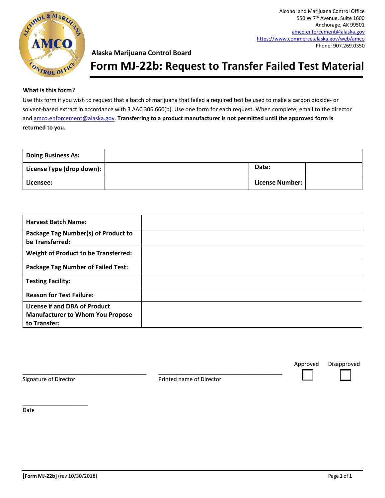

Alcohol and Marijuana Control Office 550 W 7th Avenue, Suite 1600 Anchorage, AK 99501 [amco.enforcement@alaska.gov](mailto:amco.enforcement@alaska.gov) <https://www.commerce.alaska.gov/web/amco> Phone: 907.269.0350

### **Alaska Marijuana Control Board**

# **Form MJ-22b: Request to Transfer Failed Test Material**

#### **What isthisform?**

Use this form if you wish to request that a batch of marijuana that failed a required test be used to make a carbon dioxide- or solvent-based extract in accordance with 3 AAC 306.660(b). Use one form for each request. When complete, email to the director an[d amco.enforcement@alaska.gov.](mailto:amco.enforcement@alaska.gov) **Transferring to a product manufacturer is not permitted until the approved form is returned to you.**

| <b>Doing Business As:</b> |                        |  |
|---------------------------|------------------------|--|
| License Type (drop down): | Date:                  |  |
| Licensee:                 | <b>License Number:</b> |  |

| <b>Harvest Batch Name:</b>                                                              |  |
|-----------------------------------------------------------------------------------------|--|
| Package Tag Number(s) of Product to<br>be Transferred:                                  |  |
| <b>Weight of Product to be Transferred:</b>                                             |  |
| <b>Package Tag Number of Failed Test:</b>                                               |  |
| <b>Testing Facility:</b>                                                                |  |
| <b>Reason for Test Failure:</b>                                                         |  |
| License # and DBA of Product<br><b>Manufacturer to Whom You Propose</b><br>to Transfer: |  |

\_\_\_\_\_\_\_\_\_\_\_\_\_\_\_\_\_\_\_\_\_\_\_\_\_\_\_\_\_\_\_\_\_\_\_\_\_\_\_\_ \_\_\_\_\_\_\_\_\_\_\_\_\_\_\_\_\_\_\_\_\_\_\_\_\_\_\_\_\_\_\_\_\_\_\_\_\_\_\_\_ Signature of Director **Printed name of Director** Printed name of Director

 $\overline{\phantom{a}}$  , where  $\overline{\phantom{a}}$  , where  $\overline{\phantom{a}}$  , where  $\overline{\phantom{a}}$ 

Date

Approved Disapproved